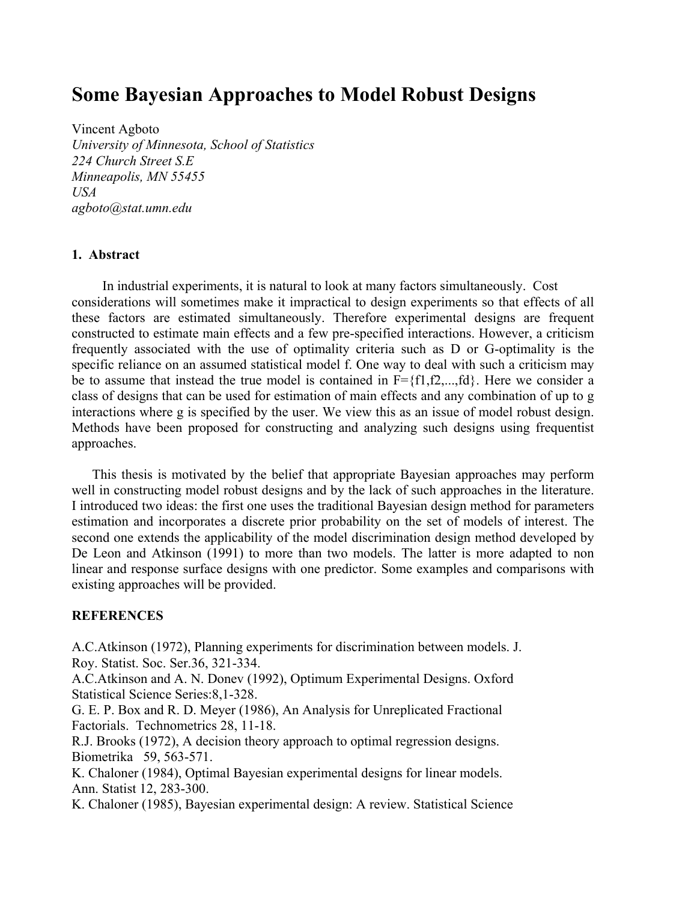## **Some Bayesian Approaches to Model Robust Designs**

Vincent Agboto *University of Minnesota, School of Statistics 224 Church Street S.E Minneapolis, MN 55455 USA agboto@stat.umn.edu*

## **1. Abstract**

In industrial experiments, it is natural to look at many factors simultaneously. Cost considerations will sometimes make it impractical to design experiments so that effects of all these factors are estimated simultaneously. Therefore experimental designs are frequent constructed to estimate main effects and a few pre-specified interactions. However, a criticism frequently associated with the use of optimality criteria such as D or G-optimality is the specific reliance on an assumed statistical model f. One way to deal with such a criticism may be to assume that instead the true model is contained in  $F = \{f1, f2, \dots, fd\}$ . Here we consider a class of designs that can be used for estimation of main effects and any combination of up to g interactions where g is specified by the user. We view this as an issue of model robust design. Methods have been proposed for constructing and analyzing such designs using frequentist approaches.

This thesis is motivated by the belief that appropriate Bayesian approaches may perform well in constructing model robust designs and by the lack of such approaches in the literature. I introduced two ideas: the first one uses the traditional Bayesian design method for parameters estimation and incorporates a discrete prior probability on the set of models of interest. The second one extends the applicability of the model discrimination design method developed by De Leon and Atkinson (1991) to more than two models. The latter is more adapted to non linear and response surface designs with one predictor. Some examples and comparisons with existing approaches will be provided.

## **REFERENCES**

A.C.Atkinson (1972), Planning experiments for discrimination between models. J. Roy. Statist. Soc. Ser.36, 321-334.

A.C.Atkinson and A. N. Donev (1992), Optimum Experimental Designs. Oxford Statistical Science Series:8,1-328.

G. E. P. Box and R. D. Meyer (1986), An Analysis for Unreplicated Fractional Factorials. Technometrics 28, 11-18.

R.J. Brooks (1972), A decision theory approach to optimal regression designs. Biometrika 59, 563-571.

K. Chaloner (1984), Optimal Bayesian experimental designs for linear models. Ann. Statist 12, 283-300.

K. Chaloner (1985), Bayesian experimental design: A review. Statistical Science